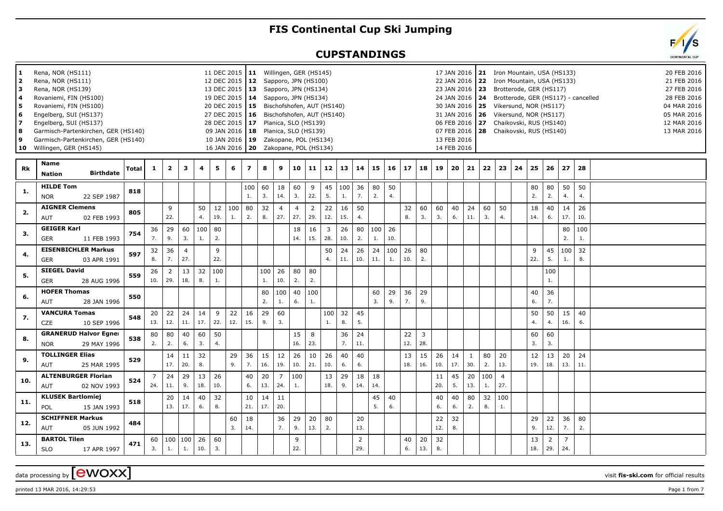## **FIS Continental Cup Ski Jumping**

## **CUPSTANDINGS**

| 1.<br>$\overline{2}$<br>3<br>4<br>5<br>6<br>$\overline{ }$<br>8<br>9<br>10 | Rena, NOR (HS111)<br>Rena, NOR (HS111)<br>Rena, NOR (HS139)<br>Rovaniemi, FIN (HS100)<br>Rovaniemi, FIN (HS100)<br>Engelberg, SUI (HS137)<br>Engelberg, SUI (HS137)<br>Garmisch-Partenkirchen, GER (HS140)<br>Garmisch-Partenkirchen, GER (HS140)<br>Willingen, GER (HS145) |       |           |                       |                       |           |           |                       | 11 DEC 2015   11 Willingen, GER (HS145)<br>12 DEC 2015   12 Sapporo, JPN (HS100)<br>13 DEC 2015   13 Sapporo, JPN (HS134)<br>19 DEC 2015   14 Sapporo, JPN (HS134)<br>20 DEC 2015   15 Bischofshofen, AUT (HS140)<br>27 DEC 2015   16 Bischofshofen, AUT (HS140)<br>28 DEC 2015   17 Planica, SLO (HS139)<br>09 JAN 2016   18 Planica, SLO (HS139)<br>10 JAN 2016 19 Zakopane, POL (HS134)<br>16 JAN 2016   20  Zakopane, POL (HS134) |           |                       |                       |                       |           |                          |           |           |           |           |                       |           | 13 FEB 2016<br>14 FEB 2016 |                     |           | 17 JAN 2016   21 Iron Mountain, USA (HS133)<br>22 JAN 2016   22 Iron Mountain, USA (HS133)<br>23 JAN 2016   23 Brotterode, GER (HS117)<br>24 JAN 2016   24 Brotterode, GER (HS117) - cancelled<br>30 JAN 2016   25 Vikersund, NOR (HS117)<br>31 JAN 2016   26 Vikersund, NOR (HS117)<br>06 FEB 2016 27 Chaikovski, RUS (HS140)<br>07 FEB 2016   28 Chaikovski, RUS (HS140) |    |           |           |                       |           |  | 20 FEB 2016<br>21 FEB 2016<br>27 FEB 2016<br>28 FEB 2016<br>04 MAR 2016<br>05 MAR 2016<br>12 MAR 2016<br>13 MAR 2016 |
|----------------------------------------------------------------------------|-----------------------------------------------------------------------------------------------------------------------------------------------------------------------------------------------------------------------------------------------------------------------------|-------|-----------|-----------------------|-----------------------|-----------|-----------|-----------------------|---------------------------------------------------------------------------------------------------------------------------------------------------------------------------------------------------------------------------------------------------------------------------------------------------------------------------------------------------------------------------------------------------------------------------------------|-----------|-----------------------|-----------------------|-----------------------|-----------|--------------------------|-----------|-----------|-----------|-----------|-----------------------|-----------|----------------------------|---------------------|-----------|----------------------------------------------------------------------------------------------------------------------------------------------------------------------------------------------------------------------------------------------------------------------------------------------------------------------------------------------------------------------------|----|-----------|-----------|-----------------------|-----------|--|----------------------------------------------------------------------------------------------------------------------|
| Rk                                                                         | Name<br><b>Birthdate</b><br><b>Nation</b>                                                                                                                                                                                                                                   | Total | -1        | $\mathbf{2}$          | 3                     | 4         | 5         | 6                     | $\overline{\mathbf{z}}$                                                                                                                                                                                                                                                                                                                                                                                                               | 8         | 9                     | 10                    | 11                    | 12        | 13                       | 14        | 15        | 16        | 17        | 18                    | 19        | 20                         | 21                  | 22        | 23                                                                                                                                                                                                                                                                                                                                                                         | 24 | 25        | 26        | 27                    | 28        |  |                                                                                                                      |
| -1.                                                                        | <b>HILDE Tom</b><br>22 SEP 1987<br><b>NOR</b>                                                                                                                                                                                                                               | 818   |           |                       |                       |           |           |                       | 100<br>1.                                                                                                                                                                                                                                                                                                                                                                                                                             | 60<br>3.  | 18<br>14.             | 60<br>3.              | 9<br>22.              | 5.        | $45 \mid 100 \mid$<br>1. | 36<br>7.  | 80<br>2.  | 50<br>4.  |           |                       |           |                            |                     |           |                                                                                                                                                                                                                                                                                                                                                                            |    | 80<br>2.  | 80<br>2.  | 50<br>4.              | 50<br>4.  |  |                                                                                                                      |
| 2.                                                                         | <b>AIGNER Clemens</b><br>AUT<br>02 FEB 1993                                                                                                                                                                                                                                 | 805   |           | 9<br>22.              |                       | 50<br>4.  | 12<br>19. | 100<br>$\mathbf{1}$ . | 80<br>2.                                                                                                                                                                                                                                                                                                                                                                                                                              | 32<br>8.  | $\overline{4}$<br>27. | $\overline{4}$<br>27. | $\overline{2}$<br>29. | 22<br>12. | 16<br>15.                | 50<br>4.  |           |           | 32<br>8.  | 60<br>3.              | 60<br>3.  | 40<br>6.                   | 24<br>11.           | 60<br>3.  | 50<br>4.                                                                                                                                                                                                                                                                                                                                                                   |    | 18<br>14. | 40<br>6.  | 14<br>17.             | 26<br>10. |  |                                                                                                                      |
| 3.                                                                         | <b>GEIGER Karl</b><br>GER<br>11 FEB 1993                                                                                                                                                                                                                                    | 754   | 36<br>7.  | 29<br>9.              | 60<br>3.              | 100<br>1. | 80<br>2.  |                       |                                                                                                                                                                                                                                                                                                                                                                                                                                       |           |                       | 18<br>14.             | 16<br>15.             | 3<br>28.  | 26<br>10.                | 80<br>2.  | 100<br>1. | 26<br>10. |           |                       |           |                            |                     |           |                                                                                                                                                                                                                                                                                                                                                                            |    |           |           | 80<br>2.              | 100<br>1. |  |                                                                                                                      |
| 4.                                                                         | <b>EISENBICHLER Markus</b><br><b>GER</b><br>03 APR 1991                                                                                                                                                                                                                     | 597   | 32<br>8.  | 36<br>7.              | $\overline{4}$<br>27. |           | 9<br>22.  |                       |                                                                                                                                                                                                                                                                                                                                                                                                                                       |           |                       |                       |                       | 50<br>4.  | 24<br>11.                | 26<br>10. | 24<br>11. | 100<br>1. | 26<br>10. | 80<br>2.              |           |                            |                     |           |                                                                                                                                                                                                                                                                                                                                                                            |    | 9<br>22.  | 45<br>5.  | 100<br>1.             | 32<br>8.  |  |                                                                                                                      |
| 5.                                                                         | <b>SIEGEL David</b><br><b>GER</b><br>28 AUG 1996                                                                                                                                                                                                                            | 559   | 26<br>10. | 2<br>29.              | 13<br>18.             | 32<br>8.  | 100<br>1. |                       |                                                                                                                                                                                                                                                                                                                                                                                                                                       | 100<br>1. | 26<br>10.             | 80<br>2.              | 80<br>2.              |           |                          |           |           |           |           |                       |           |                            |                     |           |                                                                                                                                                                                                                                                                                                                                                                            |    |           | 100<br>1. |                       |           |  |                                                                                                                      |
| 6.                                                                         | <b>HOFER Thomas</b><br>AUT<br>28 JAN 1996                                                                                                                                                                                                                                   | 550   |           |                       |                       |           |           |                       |                                                                                                                                                                                                                                                                                                                                                                                                                                       | 80<br>2.  | 100<br>1.             | 40<br>6.              | 100<br>1.             |           |                          |           | 60<br>3.  | 29<br>9.  | 36<br>7.  | 29<br>9.              |           |                            |                     |           |                                                                                                                                                                                                                                                                                                                                                                            |    | 40<br>6.  | 36<br>7.  |                       |           |  |                                                                                                                      |
| 7.                                                                         | <b>VANCURA Tomas</b><br><b>CZE</b><br>10 SEP 1996                                                                                                                                                                                                                           | 548   | 20<br>13. | 22<br>12.             | 24<br>11.             | 14<br>17. | 9<br>22.  | 22<br>12.             | 16<br>15.                                                                                                                                                                                                                                                                                                                                                                                                                             | 29<br>9.  | 60<br>3.              |                       |                       | 100<br>1. | 32<br>8.                 | 45<br>5.  |           |           |           |                       |           |                            |                     |           |                                                                                                                                                                                                                                                                                                                                                                            |    | 50<br>4.  | 50<br>4.  | 15<br>16.             | 40<br>6.  |  |                                                                                                                      |
| 8.                                                                         | <b>GRANERUD Halvor Egner</b><br>29 MAY 1996<br><b>NOR</b>                                                                                                                                                                                                                   | 538   | 80<br>2.  | 80<br>2.              | 40<br>6.              | 60<br>3.  | 50<br>4.  |                       |                                                                                                                                                                                                                                                                                                                                                                                                                                       |           |                       | 15<br>16.             | 8<br>23.              |           | 36<br>7.                 | 24<br>11. |           |           | 22<br>12. | $\overline{3}$<br>28. |           |                            |                     |           |                                                                                                                                                                                                                                                                                                                                                                            |    | 60<br>3.  | 60<br>3.  |                       |           |  |                                                                                                                      |
| 9.                                                                         | <b>TOLLINGER Elias</b><br>AUT<br>25 MAR 1995                                                                                                                                                                                                                                | 529   |           | 14<br>17.             | 11<br>20.             | 32<br>8.  |           | 29<br>9.              | 36<br>7.                                                                                                                                                                                                                                                                                                                                                                                                                              | 15<br>16. | 12<br>19.             | 26<br>10.             | 10<br>21.             | 26<br>10. | 40<br>6.                 | 40<br>6.  |           |           | 13<br>18. | 15<br>16.             | 26<br>10. | 14<br>17.                  | $\mathbf{1}$<br>30. | 80<br>2.  | 20<br>13.                                                                                                                                                                                                                                                                                                                                                                  |    | 12<br>19. | 13<br>18. | 20<br>13.             | 24<br>11. |  |                                                                                                                      |
| 10.                                                                        | <b>ALTENBURGER Florian</b><br><b>AUT</b><br>02 NOV 1993                                                                                                                                                                                                                     | 524   | 24.       | 24<br>11.             | 29<br>9.              | 13<br>18. | 26<br>10. |                       | 40<br>6.                                                                                                                                                                                                                                                                                                                                                                                                                              | 20<br>13. | $\overline{7}$<br>24. | 100<br>1.             |                       | 13<br>18. | 29<br>9.                 | 18<br>14. | 18<br>14. |           |           |                       | 11<br>20. | 45<br>5.                   | 20<br>13.           | 100<br>1. | $\overline{4}$<br>27.                                                                                                                                                                                                                                                                                                                                                      |    |           |           |                       |           |  |                                                                                                                      |
| 11.                                                                        | <b>KLUSEK Bartlomiej</b><br>POL<br>15 JAN 1993                                                                                                                                                                                                                              | 518   |           | 20<br>13.             | 14<br>17.             | 40<br>6.  | 32<br>8.  |                       | 10<br>21.                                                                                                                                                                                                                                                                                                                                                                                                                             | 14<br>17. | 11<br>20.             |                       |                       |           |                          |           | 45<br>5.  | 40<br>6.  |           |                       | 40<br>6.  | 40<br>6.                   | 80<br>2.            | 32<br>8.  | 100<br>1.                                                                                                                                                                                                                                                                                                                                                                  |    |           |           |                       |           |  |                                                                                                                      |
| 12.                                                                        | <b>SCHIFFNER Markus</b><br>05 JUN 1992<br>AUT                                                                                                                                                                                                                               | 484   |           |                       |                       |           |           | 60<br>3.              | 18<br>14.                                                                                                                                                                                                                                                                                                                                                                                                                             |           | 36<br>7.              | 29<br>9.              | 20<br>13.             | 80<br>2.  |                          | 20<br>13. |           |           |           |                       | 22<br>12. | 32<br>8.                   |                     |           |                                                                                                                                                                                                                                                                                                                                                                            |    | 29<br>9.  | 22<br>12. | 36<br>7.              | 80<br>2.  |  |                                                                                                                      |
| 13.                                                                        | <b>BARTOL Tilen</b><br><b>SLO</b><br>17 APR 1997                                                                                                                                                                                                                            | 471   | 60<br>3.  | 100<br>$\mathbf{1}$ . | 100<br>1.             | 26<br>10. | 60<br>3.  |                       |                                                                                                                                                                                                                                                                                                                                                                                                                                       |           |                       | 9<br>22.              |                       |           |                          | 2<br>29.  |           |           | 40<br>6.  | 20<br>13.             | 32<br>8.  |                            |                     |           |                                                                                                                                                                                                                                                                                                                                                                            |    | 13<br>18. | 2<br>29.  | $\overline{7}$<br>24. |           |  |                                                                                                                      |

data processing by **CWOXX** wisit **fis-ski.com** for official results

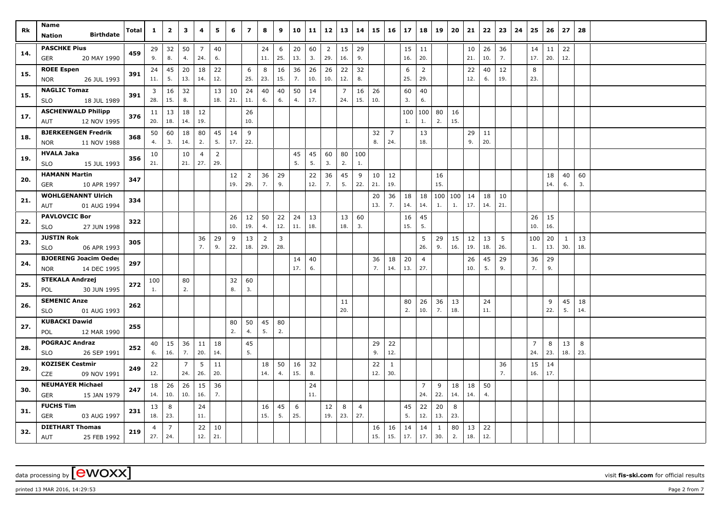| Rk  | Name<br><b>Birthdate</b><br><b>Nation</b>         | Total | $\mathbf{1}$    | $\overline{\mathbf{2}}$ | 3                     | 4                     | 5              | 6         | $\overline{ }$ | 8              | 9              | 10            | 11        | 12                    | 13                    | 14             | 15        | $\vert$ 16          | 17        | 18                    | 19           | 20        | 21                     | 22        | 23        | 24 | 25                    | 26        | 27           | 28        |  |
|-----|---------------------------------------------------|-------|-----------------|-------------------------|-----------------------|-----------------------|----------------|-----------|----------------|----------------|----------------|---------------|-----------|-----------------------|-----------------------|----------------|-----------|---------------------|-----------|-----------------------|--------------|-----------|------------------------|-----------|-----------|----|-----------------------|-----------|--------------|-----------|--|
|     |                                                   |       |                 |                         |                       |                       |                |           |                |                |                |               |           |                       |                       |                |           |                     |           |                       |              |           |                        |           |           |    |                       |           |              |           |  |
| 14. | <b>PASCHKE Pius</b><br>20 MAY 1990                | 459   | 29<br>9.        | 32<br>8.                | 50<br>4.              | $\overline{7}$<br>24. | 40<br>6.       |           |                | 24<br>11.      | 6<br>25.       | $20\,$<br>13. | 60<br>3.  | $\overline{2}$<br>29. | 15<br>16.             | 29<br>9.       |           |                     | 15<br>16. | 11<br>20.             |              |           | 10 <sub>1</sub><br>21. | 26<br>10. | 36<br>7.  |    | 14<br>17.             | 11<br>20. | 22<br>12.    |           |  |
|     | GER                                               |       |                 |                         |                       |                       |                |           |                |                |                |               |           |                       |                       |                |           |                     |           |                       |              |           |                        |           |           |    |                       |           |              |           |  |
| 15. | <b>ROEE Espen</b><br>26 JUL 1993<br><b>NOR</b>    | 391   | 24<br>11.       | 45<br>5.                | 20<br>13.             | 18<br>14.             | 22<br>12.      |           | 6<br>25.       | 8<br>23.       | 16<br>15.      | 36<br>7.      | 26<br>10. | 26<br>10.             | 22<br>12.             | 32<br>8.       |           |                     | 6<br>25.  | $\overline{2}$<br>29. |              |           | 22<br>12.              | 40<br>6.  | 12<br>19. |    | 8<br>23.              |           |              |           |  |
|     | <b>NAGLIC Tomaz</b>                               |       |                 |                         |                       |                       |                |           |                |                |                |               |           |                       |                       |                |           |                     |           |                       |              |           |                        |           |           |    |                       |           |              |           |  |
| 15. | <b>SLO</b><br>18 JUL 1989                         | 391   | 3<br>28.        | 16<br>15.               | 32<br>8.              |                       | 13<br>18.      | 10<br>21. | 24<br>11.      | 40<br>6.       | 40<br>6.       | 50<br>4.      | 14<br>17. |                       | $\overline{7}$<br>24. | 16<br>15.      | 26<br>10. |                     | 60<br>3.  | 40<br>6.              |              |           |                        |           |           |    |                       |           |              |           |  |
|     | <b>ASCHENWALD Philipp</b>                         |       | 11              | 13                      | 18                    | 12                    |                |           | 26             |                |                |               |           |                       |                       |                |           |                     | 100       | 100                   | 80           | 16        |                        |           |           |    |                       |           |              |           |  |
| 17. | 12 NOV 1995<br>AUT                                | 376   | 20.             | 18.                     | 14.                   | 19.                   |                |           | 10.            |                |                |               |           |                       |                       |                |           |                     | 1.        | 1.                    | 2.           | 15.       |                        |           |           |    |                       |           |              |           |  |
| 18. | <b>BJERKEENGEN Fredrik</b>                        | 368   | 50              | 60                      | 18                    | 80                    | 45             | 14        | 9              |                |                |               |           |                       |                       |                | 32        | 7                   |           | 13                    |              |           | 29                     | 11        |           |    |                       |           |              |           |  |
|     | 11 NOV 1988<br><b>NOR</b>                         |       | 4.              | 3.                      | 14.                   | 2.                    | 5.             | 17.       | 22.            |                |                |               |           |                       |                       |                | 8.        | 24.                 |           | 18.                   |              |           | 9.                     | 20.       |           |    |                       |           |              |           |  |
| 19. | <b>HVALA Jaka</b>                                 | 356   | 10              |                         | 10                    | 4                     | $\overline{2}$ |           |                |                |                | 45            | 45        | 60                    | 80                    | 100            |           |                     |           |                       |              |           |                        |           |           |    |                       |           |              |           |  |
|     | 15 JUL 1993<br><b>SLO</b>                         |       | 21.             |                         | 21.                   | 27.                   | 29.            |           |                |                |                | 5.            | 5.        | 3.                    | 2.                    | 1.             |           |                     |           |                       |              |           |                        |           |           |    |                       |           |              |           |  |
| 20. | <b>HAMANN Martin</b>                              | 347   |                 |                         |                       |                       |                | 12        | $\overline{2}$ | 36             | 29             |               | 22        | 36                    | 45                    | 9              | 10        | 12                  |           |                       | 16           |           |                        |           |           |    |                       | 18        | 40           | 60        |  |
|     | 10 APR 1997<br><b>GER</b>                         |       |                 |                         |                       |                       |                | 19.       | 29.            | 7.             | 9.             |               | 12.       | 7.                    | 5.                    | 22.            | 21.       | 19.                 |           |                       | 15.          |           |                        |           |           |    |                       | 14.       | 6.           | 3.        |  |
| 21. | <b>WOHLGENANNT Ulrich</b>                         | 334   |                 |                         |                       |                       |                |           |                |                |                |               |           |                       |                       |                | 20        | 36                  | 18        | 18                    | 100          | 100       | 14                     | 18        | 10        |    |                       |           |              |           |  |
|     | 01 AUG 1994<br>AUT                                |       |                 |                         |                       |                       |                |           |                |                |                |               |           |                       |                       |                | 13.       | 7.                  | 14.       | 14.                   | 1.           | 1.        | 17.                    | 14.       | 21.       |    |                       |           |              |           |  |
| 22. | <b>PAVLOVCIC Bor</b>                              | 322   |                 |                         |                       |                       |                | 26        | 12             | 50             | 22             | 24            | 13        |                       | 13                    | 60             |           |                     | 16        | 45                    |              |           |                        |           |           |    | 26                    | 15        |              |           |  |
|     | <b>SLO</b><br>27 JUN 1998                         |       |                 |                         |                       |                       |                | 10.       | 19.            | 4.             | 12.            | 11.           | 18.       |                       | 18.                   | 3.             |           |                     | 15.       | 5.                    |              |           |                        |           |           |    | 10.                   | 16.       |              |           |  |
| 23. | <b>JUSTIN Rok</b>                                 | 305   |                 |                         |                       | 36                    | 29             | 9         | 13             | $\overline{2}$ | $\overline{3}$ |               |           |                       |                       |                |           |                     |           | 5                     | 29           | 15        | 12                     | 13        | 5         |    | 100                   | 20        | $\mathbf{1}$ | 13        |  |
|     | <b>SLO</b><br>06 APR 1993                         |       |                 |                         |                       | 7.                    | 9.             | 22.       | 18.            | 29.            | 28.            |               |           |                       |                       |                |           |                     |           | 26.                   | 9.           | 16.       | 19.                    | 18.       | 26.       |    | 1.                    | 13.       | 30.          | 18.       |  |
| 24. | <b>BJOERENG Joacim Oeder</b>                      | 297   |                 |                         |                       |                       |                |           |                |                |                | 14            | 40        |                       |                       |                | 36        | 18                  | 20        | $\overline{4}$        |              |           | 26                     | 45        | 29        |    | 36                    | 29        |              |           |  |
|     | 14 DEC 1995<br><b>NOR</b>                         |       |                 |                         |                       |                       |                |           |                |                |                | 17.           | 6.        |                       |                       |                | 7.        | 14.                 | 13.       | 27.                   |              |           | 10.                    | 5.        | 9.        |    | 7.                    | 9.        |              |           |  |
| 25. | <b>STEKALA Andrzej</b>                            | 272   | 100             |                         | 80                    |                       |                | 32        | 60             |                |                |               |           |                       |                       |                |           |                     |           |                       |              |           |                        |           |           |    |                       |           |              |           |  |
|     | 30 JUN 1995<br>POL                                |       | 1.              |                         | 2.                    |                       |                | 8.        | 3.             |                |                |               |           |                       |                       |                |           |                     |           |                       |              |           |                        |           |           |    |                       |           |              |           |  |
| 26. | <b>SEMENIC Anze</b>                               | 262   |                 |                         |                       |                       |                |           |                |                |                |               |           |                       | 11<br>20.             |                |           |                     | 80<br>2.  | 26<br>10.             | 36<br>7.     | 13<br>18. |                        | 24<br>11. |           |    |                       | 9         | 45<br>5.     | 18<br>14. |  |
|     | 01 AUG 1993<br><b>SLO</b>                         |       |                 |                         |                       |                       |                |           |                |                |                |               |           |                       |                       |                |           |                     |           |                       |              |           |                        |           |           |    |                       | 22.       |              |           |  |
| 27. | <b>KUBACKI Dawid</b><br>12 MAR 1990<br><b>POL</b> | 255   |                 |                         |                       |                       |                | 80<br>2.  | 50<br>4.       | 45<br>5.       | 80<br>2.       |               |           |                       |                       |                |           |                     |           |                       |              |           |                        |           |           |    |                       |           |              |           |  |
|     | <b>POGRAJC Andraz</b>                             |       |                 |                         |                       |                       |                |           |                |                |                |               |           |                       |                       |                |           |                     |           |                       |              |           |                        |           |           |    |                       |           |              |           |  |
| 28. | 26 SEP 1991<br><b>SLO</b>                         | 252   | 40<br>6.        | 15<br>16.               | 36<br>7.              | 11<br>20.             | 18<br>14.      |           | 45<br>5.       |                |                |               |           |                       |                       |                | 29<br>9.  | 22<br>12.           |           |                       |              |           |                        |           |           |    | $\overline{7}$<br>24. | 8<br>23.  | 13<br>18.    | 8<br>23.  |  |
|     | <b>KOZISEK Cestmir</b>                            |       |                 |                         |                       |                       |                |           |                |                |                |               |           |                       |                       |                |           |                     |           |                       |              |           |                        |           |           |    |                       |           |              |           |  |
| 29. | 09 NOV 1991<br><b>CZE</b>                         | 249   | 22<br>12.       |                         | $\overline{7}$<br>24. | 5<br>26.              | 11<br>20.      |           |                | 18<br>14.      | 50<br>4.       | 16<br>15.     | 32<br>8.  |                       |                       |                | 22<br>12. | $\mathbf{1}$<br>30. |           |                       |              |           |                        |           | 36<br>7.  |    | 15<br>16.             | 14<br>17. |              |           |  |
|     | <b>NEUMAYER Michael</b>                           |       | 18 <sup>1</sup> |                         |                       | 15                    | 36             |           |                |                |                |               | 24        |                       |                       |                |           |                     |           | $\overline{7}$        | 9            | 18        |                        | 50        |           |    |                       |           |              |           |  |
| 30. | GER<br>15 JAN 1979                                | 247   | 14.             | 26<br>10.               | 26<br>10.             | 16.                   | 7.             |           |                |                |                |               | 11.       |                       |                       |                |           |                     |           | 24.                   | 22.          | 14.       | 18<br>14.              | 4.        |           |    |                       |           |              |           |  |
|     | <b>FUCHS Tim</b>                                  |       | 13              | 8                       |                       | 24                    |                |           |                | 16             | 45             | 6             |           | 12                    | 8                     | $\overline{4}$ |           |                     | 45        | 22                    | 20           | 8         |                        |           |           |    |                       |           |              |           |  |
| 31. | GER<br>03 AUG 1997                                | 231   | 18.             | 23.                     |                       | 11.                   |                |           |                | 15.            | 5.             | 25.           |           | 19.                   | 23.                   | 27.            |           |                     | 5.        | 12.                   | 13.          | 23.       |                        |           |           |    |                       |           |              |           |  |
|     | <b>DIETHART Thomas</b>                            |       | $\overline{4}$  | $\overline{7}$          |                       | 22                    | 10             |           |                |                |                |               |           |                       |                       |                | 16        | 16                  | 14        | 14                    | $\mathbf{1}$ | 80        | 13                     | 22        |           |    |                       |           |              |           |  |
| 32. | AUT<br>25 FEB 1992                                | 219   | 27.             | 24.                     |                       | 12.                   | 21.            |           |                |                |                |               |           |                       |                       |                | 15.       | 15.                 | 17.       | 17.                   | 30.          | 2.        | 18.                    | 12.       |           |    |                       |           |              |           |  |

printed 13 MAR 2016, 14:29:53 **Page 2** from 7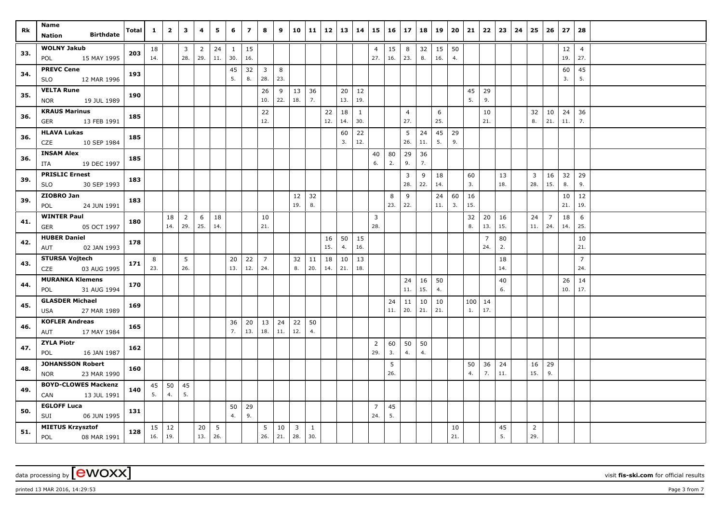| Rk  | Name<br><b>Birthdate</b><br><b>Nation</b>            | Total | $\mathbf{1}$ | $\overline{2}$      | $\mathbf{3}$          | 4                     | 5         | 6                   | $\overline{z}$ | 8                              | 9         | 10                    | 11        | $12 \mid 13$ |           | 14                  | 15                    | $16 \mid 17$ |                       | 18        | 19        | 20        | 21        | 22                    | 23        | 24 | 25        | 26                    | 27            | 28                    |  |
|-----|------------------------------------------------------|-------|--------------|---------------------|-----------------------|-----------------------|-----------|---------------------|----------------|--------------------------------|-----------|-----------------------|-----------|--------------|-----------|---------------------|-----------------------|--------------|-----------------------|-----------|-----------|-----------|-----------|-----------------------|-----------|----|-----------|-----------------------|---------------|-----------------------|--|
| 33. | <b>WOLNY Jakub</b><br>15 MAY 1995<br>POL             | 203   | 18<br>14.    |                     | $\mathbf{3}$<br>28.   | $\overline{2}$<br>29. | 24<br>11. | $\mathbf{1}$<br>30. | 15<br>16.      |                                |           |                       |           |              |           |                     | $\overline{4}$<br>27. | 15<br>16.    | 8<br>23.              | 32<br>8.  | 15<br>16. | 50<br>4.  |           |                       |           |    |           |                       | $12\,$<br>19. | $\overline{4}$<br>27. |  |
| 34. | <b>PREVC Cene</b><br>12 MAR 1996<br><b>SLO</b>       | 193   |              |                     |                       |                       |           | 45<br>5.            | 32<br>8.       | $\overline{\mathbf{3}}$<br>28. | 8<br>23.  |                       |           |              |           |                     |                       |              |                       |           |           |           |           |                       |           |    |           |                       | 60<br>3.      | 45<br>5.              |  |
| 35. | <b>VELTA Rune</b><br>19 JUL 1989<br><b>NOR</b>       | 190   |              |                     |                       |                       |           |                     |                | 26<br>10.                      | 9<br>22.  | 13<br>18.             | 36<br>7.  |              | 20<br>13. | 12<br>19.           |                       |              |                       |           |           |           | 45<br>5.  | 29<br>9.              |           |    |           |                       |               |                       |  |
| 36. | <b>KRAUS Marinus</b><br>GER<br>13 FEB 1991           | 185   |              |                     |                       |                       |           |                     |                | 22<br>12.                      |           |                       |           | 22<br>12.    | 18<br>14. | $\mathbf{1}$<br>30. |                       |              | $\overline{4}$<br>27. |           | 6<br>25.  |           |           | 10<br>21.             |           |    | 32<br>8.  | 10<br>21.             | 24<br>11.     | 36<br>7.              |  |
| 36. | <b>HLAVA Lukas</b><br>10 SEP 1984<br>CZE             | 185   |              |                     |                       |                       |           |                     |                |                                |           |                       |           |              | 60<br>3.  | 22<br>12.           |                       |              | 5<br>26.              | 24<br>11. | 45<br>5.  | 29<br>9.  |           |                       |           |    |           |                       |               |                       |  |
| 36. | <b>INSAM Alex</b><br>19 DEC 1997<br>ITA              | 185   |              |                     |                       |                       |           |                     |                |                                |           |                       |           |              |           |                     | 40<br>6.              | 80<br>2.     | 29<br>9.              | 36<br>7.  |           |           |           |                       |           |    |           |                       |               |                       |  |
| 39. | <b>PRISLIC Ernest</b><br>30 SEP 1993<br><b>SLO</b>   | 183   |              |                     |                       |                       |           |                     |                |                                |           |                       |           |              |           |                     |                       |              | 3<br>28.              | 9<br>22.  | 18<br>14. |           | 60<br>3.  |                       | 13<br>18. |    | 3<br>28.  | 16<br>15.             | 32<br>8.      | 29<br>9.              |  |
| 39. | ZIOBRO Jan<br>24 JUN 1991<br>POL                     | 183   |              |                     |                       |                       |           |                     |                |                                |           | 12<br>19.             | 32<br>8.  |              |           |                     |                       | 8<br>23.     | 9<br>22.              |           | 24<br>11. | 60<br>3.  | 16<br>15. |                       |           |    |           |                       | 10<br>21.     | 12<br>19.             |  |
| 41. | <b>WINTER Paul</b><br>05 OCT 1997<br>GER             | 180   |              | 18<br>14.           | $\overline{2}$<br>29. | 6<br>25.              | 18<br>14. |                     |                | 10<br>21.                      |           |                       |           |              |           |                     | $\overline{3}$<br>28. |              |                       |           |           |           | 32<br>8.  | 20<br>13.             | 16<br>15. |    | 24<br>11. | $\overline{7}$<br>24. | 18<br>14.     | 6<br>25.              |  |
| 42. | <b>HUBER Daniel</b><br>AUT<br>02 JAN 1993            | 178   |              |                     |                       |                       |           |                     |                |                                |           |                       |           | 16<br>15.    | 50<br>4.  | 15<br>16.           |                       |              |                       |           |           |           |           | $\overline{7}$<br>24. | 80<br>2.  |    |           |                       |               | 10<br>21.             |  |
| 43. | <b>STURSA Vojtech</b><br>CZE<br>03 AUG 1995          | 171   | 8<br>23.     |                     | 5 <sup>5</sup><br>26. |                       |           | 20<br>13.           | 22<br>12.      | $\overline{7}$<br>24.          |           | 32<br>8.              | 11<br>20. | 18<br>14.    | 10<br>21. | 13<br>18.           |                       |              |                       |           |           |           |           |                       | 18<br>14. |    |           |                       |               | $\overline{7}$<br>24. |  |
| 44. | <b>MURANKA Klemens</b><br>31 AUG 1994<br>POL         | 170   |              |                     |                       |                       |           |                     |                |                                |           |                       |           |              |           |                     |                       |              | 24<br>$11.$           | 16<br>15. | 50<br>4.  |           |           |                       | 40<br>6.  |    |           |                       | 26<br>10.     | 14<br>17.             |  |
| 45. | <b>GLASDER Michael</b><br>27 MAR 1989<br>USA         | 169   |              |                     |                       |                       |           |                     |                |                                |           |                       |           |              |           |                     |                       | 24<br>11.    | 11<br>20.             | 10<br>21. | 10<br>21. |           | 100<br>1. | $\vert$ 14<br>17.     |           |    |           |                       |               |                       |  |
| 46. | <b>KOFLER Andreas</b><br>17 MAY 1984<br>AUT          | 165   |              |                     |                       |                       |           | 36<br>7.            | $20\,$<br>13.  | 13<br>18.                      | 24<br>11. | 22<br>12.             | 50<br>4.  |              |           |                     |                       |              |                       |           |           |           |           |                       |           |    |           |                       |               |                       |  |
| 47. | <b>ZYLA Piotr</b><br>POL<br>16 JAN 1987              | 162   |              |                     |                       |                       |           |                     |                |                                |           |                       |           |              |           |                     | $\overline{2}$<br>29. | 60<br>3.     | 50<br>4.              | 50<br>4.  |           |           |           |                       |           |    |           |                       |               |                       |  |
| 48. | <b>JOHANSSON Robert</b><br>23 MAR 1990<br><b>NOR</b> | 160   |              |                     |                       |                       |           |                     |                |                                |           |                       |           |              |           |                     |                       | 5<br>26.     |                       |           |           |           | 50<br>4.  | 36<br>7.              | 24<br>11. |    | 16<br>15. | 29<br>9.              |               |                       |  |
| 49. | <b>BOYD-CLOWES Mackenzi</b><br>CAN<br>13 JUL 1991    | 140   | 45<br>5.     | 50<br>4.            | 45<br>5.              |                       |           |                     |                |                                |           |                       |           |              |           |                     |                       |              |                       |           |           |           |           |                       |           |    |           |                       |               |                       |  |
| 50. | <b>EGLOFF Luca</b><br>SUI<br>06 JUN 1995             | 131   |              |                     |                       |                       |           | 50<br>4.            | 29<br>9.       |                                |           |                       |           |              |           |                     | $\overline{7}$<br>24. | 45<br>5.     |                       |           |           |           |           |                       |           |    |           |                       |               |                       |  |
| 51. | <b>MIETUS Krzysztof</b><br>POL<br>08 MAR 1991        | 128   | 16.          | $15 \mid 12$<br>19. |                       | 20<br>13.             | 5<br>26.  |                     |                | 5<br>$26.$ 21.                 | 10        | $\overline{3}$<br>28. | 1<br>30.  |              |           |                     |                       |              |                       |           |           | 10<br>21. |           |                       | 45<br>5.  |    | 2<br>29.  |                       |               |                       |  |

data processing by **CWOXX** visit fis-ski.com for official results

printed 13 MAR 2016, 14:29:53 **Page 3** from 7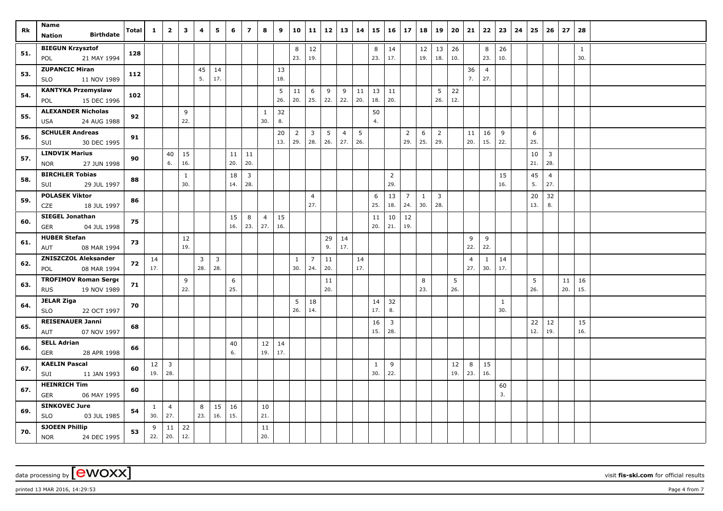| Rk  | Name<br><b>Birthdate</b>                               | Total | $\mathbf{1}$                 | $\overline{2}$          | 3                   | 4        | 5                              | 6         | $\overline{\mathbf{z}}$ | 8                     | 9         | 10                    | 11                    | $12$      | 13                    | 14        | 15                  | 16                    | 17                    | 18           | 19                    | 20                | 21                    | 22                    | 23                  | 24 | 25        | 26                    | 27  | 28        |  |
|-----|--------------------------------------------------------|-------|------------------------------|-------------------------|---------------------|----------|--------------------------------|-----------|-------------------------|-----------------------|-----------|-----------------------|-----------------------|-----------|-----------------------|-----------|---------------------|-----------------------|-----------------------|--------------|-----------------------|-------------------|-----------------------|-----------------------|---------------------|----|-----------|-----------------------|-----|-----------|--|
|     | <b>Nation</b>                                          |       |                              |                         |                     |          |                                |           |                         |                       |           |                       |                       |           |                       |           |                     |                       |                       |              |                       |                   |                       |                       |                     |    |           |                       |     |           |  |
| 51. | <b>BIEGUN Krzysztof</b><br>21 MAY 1994<br>POL          | 128   |                              |                         |                     |          |                                |           |                         |                       |           | 8<br>23.              | 12<br>19.             |           |                       |           | 8<br>23.            | 14<br>17.             |                       | 12<br>19.    | 13<br>18.             | $\vert$ 26<br>10. |                       | 8<br>23.              | 26<br>10.           |    |           |                       |     | 1<br>30.  |  |
| 53. | <b>ZUPANCIC Miran</b><br>11 NOV 1989<br><b>SLO</b>     | 112   |                              |                         |                     | 45<br>5. | 14<br>17.                      |           |                         |                       | 13<br>18. |                       |                       |           |                       |           |                     |                       |                       |              |                       |                   | 36<br>7.              | $\overline{4}$<br>27. |                     |    |           |                       |     |           |  |
| 54. | <b>KANTYKA Przemyslaw</b><br><b>POL</b><br>15 DEC 1996 | 102   |                              |                         |                     |          |                                |           |                         |                       | 5<br>26.  | 11<br>20.             | 6<br>25.              | 9<br>22.  | 9<br>22.              | 11<br>20. | 13<br>18.           | 11<br>20.             |                       |              | 5<br>26.              | 22<br>12.         |                       |                       |                     |    |           |                       |     |           |  |
| 55. | <b>ALEXANDER Nicholas</b>                              | 92    |                              |                         | 9<br>22.            |          |                                |           |                         | $\mathbf{1}$<br>30.   | 32        |                       |                       |           |                       |           | 50                  |                       |                       |              |                       |                   |                       |                       |                     |    |           |                       |     |           |  |
|     | 24 AUG 1988<br>USA                                     |       |                              |                         |                     |          |                                |           |                         |                       | 8.        |                       |                       |           |                       |           | 4.                  |                       |                       |              |                       |                   |                       |                       |                     |    |           |                       |     |           |  |
| 56. | <b>SCHULER Andreas</b><br>30 DEC 1995<br>SUI           | 91    |                              |                         |                     |          |                                |           |                         |                       | 20<br>13. | $\overline{2}$<br>29. | $\overline{3}$<br>28. | 5<br>26.  | $\overline{4}$<br>27. | 5<br>26.  |                     |                       | $\overline{2}$<br>29. | 6<br>25.     | $\overline{2}$<br>29. |                   | 11<br>20.             | 16<br>15.             | 9<br>22.            |    | 6<br>25.  |                       |     |           |  |
| 57. | <b>LINDVIK Marius</b><br><b>NOR</b><br>27 JUN 1998     | 90    |                              | 40<br>6.                | 15<br>16.           |          |                                | 11<br>20. | 11<br>20.               |                       |           |                       |                       |           |                       |           |                     |                       |                       |              |                       |                   |                       |                       |                     |    | 10<br>21. | 3<br>28.              |     |           |  |
| 58. | <b>BIRCHLER Tobias</b><br>29 JUL 1997<br>SUI           | 88    |                              |                         | $\mathbf{1}$<br>30. |          |                                | 18<br>14. | $\overline{3}$<br>28.   |                       |           |                       |                       |           |                       |           |                     | $\overline{2}$<br>29. |                       |              |                       |                   |                       |                       | 15<br>16.           |    | 45<br>5.  | $\overline{4}$<br>27. |     |           |  |
| 59. | <b>POLASEK Viktor</b>                                  | 86    |                              |                         |                     |          |                                |           |                         |                       |           |                       | $\overline{4}$        |           |                       |           | 6                   | 13                    | $\overline{7}$        | $\mathbf{1}$ | $\overline{3}$        |                   |                       |                       |                     |    | 20        | 32                    |     |           |  |
|     | CZE<br>18 JUL 1997                                     |       |                              |                         |                     |          |                                |           |                         |                       |           |                       | 27.                   |           |                       |           | 25.                 | 18.                   | 24.                   | 30.          | 28.                   |                   |                       |                       |                     |    | 13.       | 8.                    |     |           |  |
| 60. | <b>SIEGEL Jonathan</b><br><b>GER</b><br>04 JUL 1998    | 75    |                              |                         |                     |          |                                | 15<br>16. | 8<br>23.                | $\overline{4}$<br>27. | 15<br>16. |                       |                       |           |                       |           | 11<br>20.           | 10<br>21.             | 12<br>19.             |              |                       |                   |                       |                       |                     |    |           |                       |     |           |  |
| 61. | <b>HUBER Stefan</b><br>08 MAR 1994<br>AUT              | 73    |                              |                         | 12<br>19.           |          |                                |           |                         |                       |           |                       |                       | 29<br>9.  | 14<br>17.             |           |                     |                       |                       |              |                       |                   | 9<br>22.              | 9<br>22.              |                     |    |           |                       |     |           |  |
| 62. | <b>ZNISZCZOL Aleksander</b><br>08 MAR 1994<br>POL      | 72    | 14<br>17.                    |                         |                     | 3<br>28. | $\overline{\mathbf{3}}$<br>28. |           |                         |                       |           | $\mathbf{1}$<br>30.   | $\overline{7}$<br>24. | 11<br>20. |                       | 14<br>17. |                     |                       |                       |              |                       |                   | $\overline{4}$<br>27. | $\mathbf{1}$<br>30.   | 14<br>17.           |    |           |                       |     |           |  |
| 63. | <b>TROFIMOV Roman Serge</b>                            | 71    |                              |                         | 9                   |          |                                | 6         |                         |                       |           |                       |                       | 11        |                       |           |                     |                       |                       | 8            |                       | 5                 |                       |                       |                     |    | 5         |                       | 11  | 16        |  |
|     | 19 NOV 1989<br><b>RUS</b>                              |       |                              |                         | 22.                 |          |                                | 25.       |                         |                       |           |                       |                       | 20.       |                       |           |                     |                       |                       | 23.          |                       | 26.               |                       |                       |                     |    | 26.       |                       | 20. | 15.       |  |
| 64. | <b>JELAR Ziga</b><br>22 OCT 1997<br><b>SLO</b>         | 70    |                              |                         |                     |          |                                |           |                         |                       |           | 5<br>26.              | 18<br>14.             |           |                       |           | 14<br>17.           | 32<br>8.              |                       |              |                       |                   |                       |                       | $\mathbf{1}$<br>30. |    |           |                       |     |           |  |
| 65. | <b>REISENAUER Janni</b><br>07 NOV 1997<br>AUT          | 68    |                              |                         |                     |          |                                |           |                         |                       |           |                       |                       |           |                       |           | 16<br>15.           | $\overline{3}$<br>28. |                       |              |                       |                   |                       |                       |                     |    | 22<br>12. | 12<br>19.             |     | 15<br>16. |  |
| 66. | <b>SELL Adrian</b><br>28 APR 1998<br><b>GER</b>        | 66    |                              |                         |                     |          |                                | 40<br>6.  |                         | 12<br>19.             | 14<br>17. |                       |                       |           |                       |           |                     |                       |                       |              |                       |                   |                       |                       |                     |    |           |                       |     |           |  |
| 67. | <b>KAELIN Pascal</b><br>11 JAN 1993<br>SUI             | 60    | 12 <sup>1</sup><br>$19.$ 28. | $\overline{\mathbf{3}}$ |                     |          |                                |           |                         |                       |           |                       |                       |           |                       |           | $\mathbf{1}$<br>30. | 9<br>22.              |                       |              |                       | 12<br>19.         | 8<br>23.              | 15<br>16.             |                     |    |           |                       |     |           |  |
| 67. | <b>HEINRICH Tim</b>                                    | 60    |                              |                         |                     |          |                                |           |                         |                       |           |                       |                       |           |                       |           |                     |                       |                       |              |                       |                   |                       |                       | 60                  |    |           |                       |     |           |  |
|     | <b>GER</b><br>06 MAY 1995                              |       |                              |                         |                     |          |                                |           |                         |                       |           |                       |                       |           |                       |           |                     |                       |                       |              |                       |                   |                       |                       | 3.                  |    |           |                       |     |           |  |
| 69. | <b>SINKOVEC Jure</b><br><b>SLO</b><br>03 JUL 1985      | 54    | $\mathbf{1}$<br>30.          | $\overline{4}$<br>27.   |                     | 8<br>23. | 15<br>16.                      | 16<br>15. |                         | 10<br>21.             |           |                       |                       |           |                       |           |                     |                       |                       |              |                       |                   |                       |                       |                     |    |           |                       |     |           |  |
| 70. | <b>SJOEEN Phillip</b><br><b>NOR</b><br>24 DEC 1995     | 53    | 9                            | 11<br>22.   20.         | 22<br>12.           |          |                                |           |                         | 11<br>20.             |           |                       |                       |           |                       |           |                     |                       |                       |              |                       |                   |                       |                       |                     |    |           |                       |     |           |  |

data processing by **CWOXX** visit fis-ski.com for official results

printed 13 MAR 2016, 14:29:53 **Page 4 from 7** Page 4 from 7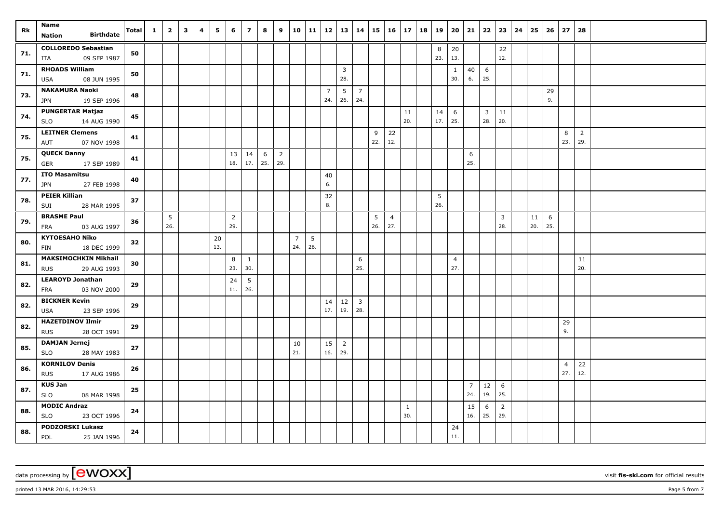| Rk  | Name<br><b>Birthdate</b>                           | <b>Total</b> | $\mathbf{1}$ | $\overline{\mathbf{2}}$ | 3 | 4 | 5   | 6              | $\overline{\phantom{a}}$ | 8           | 9              | 10             | 11  | 12             | 13                    | 14             | 15  | $16 \mid 17$   |              | 18 | 19       | 20             | 21             | 22              | $23 \mid$      | 24 | 25  | 26  | 27             | 28             |  |
|-----|----------------------------------------------------|--------------|--------------|-------------------------|---|---|-----|----------------|--------------------------|-------------|----------------|----------------|-----|----------------|-----------------------|----------------|-----|----------------|--------------|----|----------|----------------|----------------|-----------------|----------------|----|-----|-----|----------------|----------------|--|
|     | <b>Nation</b>                                      |              |              |                         |   |   |     |                |                          |             |                |                |     |                |                       |                |     |                |              |    |          |                |                |                 |                |    |     |     |                |                |  |
| 71. | <b>COLLOREDO Sebastian</b>                         | 50           |              |                         |   |   |     |                |                          |             |                |                |     |                |                       |                |     |                |              |    | 8        | 20             |                |                 | 22             |    |     |     |                |                |  |
|     | 09 SEP 1987<br>ITA                                 |              |              |                         |   |   |     |                |                          |             |                |                |     |                |                       |                |     |                |              |    | 23.      | 13.            |                |                 | 12.            |    |     |     |                |                |  |
| 71. | <b>RHOADS William</b><br>08 JUN 1995<br><b>USA</b> | 50           |              |                         |   |   |     |                |                          |             |                |                |     |                | $\overline{3}$<br>28. |                |     |                |              |    |          | 1<br>30.       | 40<br>6.       | 6<br>25.        |                |    |     |     |                |                |  |
|     | <b>NAKAMURA Naoki</b>                              |              |              |                         |   |   |     |                |                          |             |                |                |     | $\overline{7}$ | $\overline{5}$        | $\overline{7}$ |     |                |              |    |          |                |                |                 |                |    |     | 29  |                |                |  |
| 73. | <b>JPN</b><br>19 SEP 1996                          | 48           |              |                         |   |   |     |                |                          |             |                |                |     | 24.            | 26.                   | 24.            |     |                |              |    |          |                |                |                 |                |    |     | 9.  |                |                |  |
|     | <b>PUNGERTAR Matjaz</b>                            |              |              |                         |   |   |     |                |                          |             |                |                |     |                |                       |                |     |                | 11           |    | 14       | 6              |                | $\overline{3}$  | 11             |    |     |     |                |                |  |
| 74. | <b>SLO</b><br>14 AUG 1990                          | 45           |              |                         |   |   |     |                |                          |             |                |                |     |                |                       |                |     |                | 20.          |    | 17.      | 25.            |                | 28.             | 20.            |    |     |     |                |                |  |
| 75. | <b>LEITNER Clemens</b>                             | 41           |              |                         |   |   |     |                |                          |             |                |                |     |                |                       |                | 9   | 22             |              |    |          |                |                |                 |                |    |     |     | 8              | $\overline{2}$ |  |
|     | 07 NOV 1998<br>AUT                                 |              |              |                         |   |   |     |                |                          |             |                |                |     |                |                       |                | 22. | 12.            |              |    |          |                |                |                 |                |    |     |     | 23.            | 29.            |  |
| 75. | <b>QUECK Danny</b>                                 | 41           |              |                         |   |   |     | 13             | 14                       | 6           | $\overline{2}$ |                |     |                |                       |                |     |                |              |    |          |                | 6              |                 |                |    |     |     |                |                |  |
|     | 17 SEP 1989<br>GER                                 |              |              |                         |   |   |     | 18.            | 17.                      | $\vert$ 25. | 29.            |                |     |                |                       |                |     |                |              |    |          |                | 25.            |                 |                |    |     |     |                |                |  |
| 77. | <b>ITO Masamitsu</b>                               | 40           |              |                         |   |   |     |                |                          |             |                |                |     | 40<br>6.       |                       |                |     |                |              |    |          |                |                |                 |                |    |     |     |                |                |  |
|     | <b>JPN</b><br>27 FEB 1998                          |              |              |                         |   |   |     |                |                          |             |                |                |     |                |                       |                |     |                |              |    |          |                |                |                 |                |    |     |     |                |                |  |
| 78. | <b>PEIER Killian</b><br>28 MAR 1995<br>SUI         | 37           |              |                         |   |   |     |                |                          |             |                |                |     | 32<br>8.       |                       |                |     |                |              |    | 5<br>26. |                |                |                 |                |    |     |     |                |                |  |
|     | <b>BRASME Paul</b>                                 |              |              | 5                       |   |   |     | $\overline{2}$ |                          |             |                |                |     |                |                       |                | 5   | $\overline{4}$ |              |    |          |                |                |                 | $\overline{3}$ |    | 11  | 6   |                |                |  |
| 79. | 03 AUG 1997<br>FRA                                 | 36           |              | 26.                     |   |   |     | 29.            |                          |             |                |                |     |                |                       |                | 26. | 27.            |              |    |          |                |                |                 | 28.            |    | 20. | 25. |                |                |  |
|     | <b>KYTOESAHO Niko</b>                              |              |              |                         |   |   | 20  |                |                          |             |                | $\overline{7}$ | 5   |                |                       |                |     |                |              |    |          |                |                |                 |                |    |     |     |                |                |  |
| 80. | 18 DEC 1999<br>FIN                                 | 32           |              |                         |   |   | 13. |                |                          |             |                | 24.            | 26. |                |                       |                |     |                |              |    |          |                |                |                 |                |    |     |     |                |                |  |
| 81. | <b>MAKSIMOCHKIN Mikhail</b>                        | 30           |              |                         |   |   |     | 8              | $\mathbf{1}$             |             |                |                |     |                |                       | 6              |     |                |              |    |          | $\overline{4}$ |                |                 |                |    |     |     |                | 11             |  |
|     | 29 AUG 1993<br><b>RUS</b>                          |              |              |                         |   |   |     | 23.            | 30.                      |             |                |                |     |                |                       | 25.            |     |                |              |    |          | 27.            |                |                 |                |    |     |     |                | 20.            |  |
| 82. | <b>LEAROYD Jonathan</b>                            | 29           |              |                         |   |   |     | 24             | 5                        |             |                |                |     |                |                       |                |     |                |              |    |          |                |                |                 |                |    |     |     |                |                |  |
|     | FRA<br>03 NOV 2000                                 |              |              |                         |   |   |     | 11.            | 26.                      |             |                |                |     |                |                       |                |     |                |              |    |          |                |                |                 |                |    |     |     |                |                |  |
| 82. | <b>BICKNER Kevin</b>                               | 29           |              |                         |   |   |     |                |                          |             |                |                |     | 14             | $12\,$                | $\overline{3}$ |     |                |              |    |          |                |                |                 |                |    |     |     |                |                |  |
|     | 23 SEP 1996<br><b>USA</b>                          |              |              |                         |   |   |     |                |                          |             |                |                |     | 17.            | 19.                   | 28.            |     |                |              |    |          |                |                |                 |                |    |     |     |                |                |  |
| 82. | <b>HAZETDINOV Ilmir</b>                            | 29           |              |                         |   |   |     |                |                          |             |                |                |     |                |                       |                |     |                |              |    |          |                |                |                 |                |    |     |     | 29<br>9.       |                |  |
|     | 28 OCT 1991<br><b>RUS</b>                          |              |              |                         |   |   |     |                |                          |             |                |                |     |                |                       |                |     |                |              |    |          |                |                |                 |                |    |     |     |                |                |  |
| 85. | <b>DAMJAN Jernej</b><br>28 MAY 1983<br><b>SLO</b>  | 27           |              |                         |   |   |     |                |                          |             |                | 10<br>21.      |     | 15<br>16.      | $\overline{2}$<br>29. |                |     |                |              |    |          |                |                |                 |                |    |     |     |                |                |  |
|     | <b>KORNILOV Denis</b>                              |              |              |                         |   |   |     |                |                          |             |                |                |     |                |                       |                |     |                |              |    |          |                |                |                 |                |    |     |     | $\overline{4}$ | 22             |  |
| 86. | <b>RUS</b><br>17 AUG 1986                          | 26           |              |                         |   |   |     |                |                          |             |                |                |     |                |                       |                |     |                |              |    |          |                |                |                 |                |    |     |     | 27.            | 12.            |  |
|     | <b>KUS Jan</b>                                     |              |              |                         |   |   |     |                |                          |             |                |                |     |                |                       |                |     |                |              |    |          |                | $\overline{7}$ | 12              | 6              |    |     |     |                |                |  |
| 87. | <b>SLO</b><br>08 MAR 1998                          | 25           |              |                         |   |   |     |                |                          |             |                |                |     |                |                       |                |     |                |              |    |          |                | 24.            | 19.             | 25.            |    |     |     |                |                |  |
| 88. | <b>MODIC Andraz</b>                                | 24           |              |                         |   |   |     |                |                          |             |                |                |     |                |                       |                |     |                | $\mathbf{1}$ |    |          |                | 15             | $6\phantom{1}6$ | $\overline{2}$ |    |     |     |                |                |  |
|     | <b>SLO</b><br>23 OCT 1996                          |              |              |                         |   |   |     |                |                          |             |                |                |     |                |                       |                |     |                | 30.          |    |          |                | 16.            | 25.             | 29.            |    |     |     |                |                |  |
| 88. | <b>PODZORSKI Lukasz</b>                            | 24           |              |                         |   |   |     |                |                          |             |                |                |     |                |                       |                |     |                |              |    |          | 24             |                |                 |                |    |     |     |                |                |  |
|     | POL<br>25 JAN 1996                                 |              |              |                         |   |   |     |                |                          |             |                |                |     |                |                       |                |     |                |              |    |          | 11.            |                |                 |                |    |     |     |                |                |  |

printed 13 MAR 2016, 14:29:53 **Page 5** from 7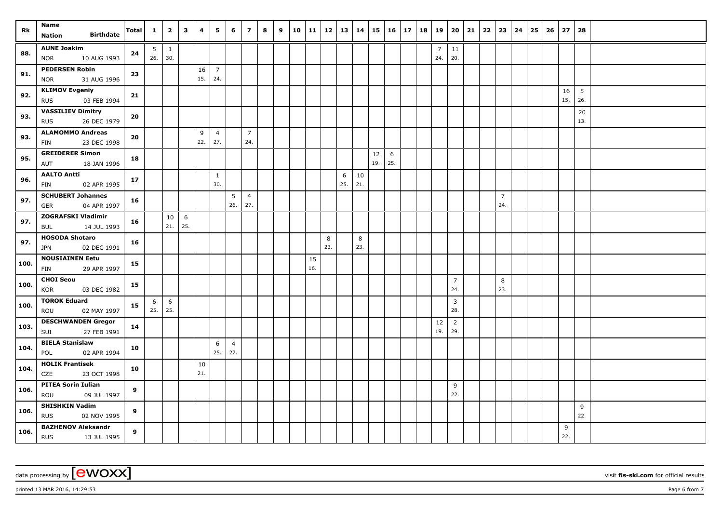| Rk   | Name                                                   | <b>Total</b> | $\mathbf{1}$ | $\overline{2}$                         | $\mathbf{3}$ | 4         | 5                     | 6                     | $\overline{z}$        | 8 | 9 | 10 | 11 12     |          | 13   14  |           |           | $15 \mid 16 \mid 17$ | 18 | 19                    | 20                    | 21 | $22 \mid 23$ |                       | 24 | 25 | 26 | 27        | 28                     |  |
|------|--------------------------------------------------------|--------------|--------------|----------------------------------------|--------------|-----------|-----------------------|-----------------------|-----------------------|---|---|----|-----------|----------|----------|-----------|-----------|----------------------|----|-----------------------|-----------------------|----|--------------|-----------------------|----|----|----|-----------|------------------------|--|
|      | <b>Birthdate</b><br><b>Nation</b>                      |              |              |                                        |              |           |                       |                       |                       |   |   |    |           |          |          |           |           |                      |    |                       |                       |    |              |                       |    |    |    |           |                        |  |
| 88.  | <b>AUNE Joakim</b><br>10 AUG 1993<br><b>NOR</b>        | 24           | 5<br>26.     | $\begin{array}{cc} \end{array}$<br>30. |              |           |                       |                       |                       |   |   |    |           |          |          |           |           |                      |    | $\overline{7}$<br>24. | 11<br>20.             |    |              |                       |    |    |    |           |                        |  |
| 91.  | <b>PEDERSEN Robin</b><br>31 AUG 1996<br><b>NOR</b>     | 23           |              |                                        |              | 16<br>15. | $\overline{7}$<br>24. |                       |                       |   |   |    |           |          |          |           |           |                      |    |                       |                       |    |              |                       |    |    |    |           |                        |  |
| 92.  | <b>KLIMOV Evgeniy</b><br>03 FEB 1994<br><b>RUS</b>     | 21           |              |                                        |              |           |                       |                       |                       |   |   |    |           |          |          |           |           |                      |    |                       |                       |    |              |                       |    |    |    | 16<br>15. | $5\phantom{.0}$<br>26. |  |
| 93.  | <b>VASSILIEV Dimitry</b><br>26 DEC 1979<br><b>RUS</b>  | 20           |              |                                        |              |           |                       |                       |                       |   |   |    |           |          |          |           |           |                      |    |                       |                       |    |              |                       |    |    |    |           | 20<br>13.              |  |
| 93.  | <b>ALAMOMMO Andreas</b><br>23 DEC 1998<br><b>FIN</b>   | 20           |              |                                        |              | 9<br>22.  | $\overline{4}$<br>27. |                       | $\overline{7}$<br>24. |   |   |    |           |          |          |           |           |                      |    |                       |                       |    |              |                       |    |    |    |           |                        |  |
| 95.  | <b>GREIDERER Simon</b><br>18 JAN 1996<br>AUT           | 18           |              |                                        |              |           |                       |                       |                       |   |   |    |           |          |          |           | 12<br>19. | 6<br>25.             |    |                       |                       |    |              |                       |    |    |    |           |                        |  |
| 96.  | <b>AALTO Antti</b><br>02 APR 1995<br><b>FIN</b>        | 17           |              |                                        |              |           | $\mathbf{1}$<br>30.   |                       |                       |   |   |    |           |          | 6<br>25. | 10<br>21. |           |                      |    |                       |                       |    |              |                       |    |    |    |           |                        |  |
| 97.  | <b>SCHUBERT Johannes</b><br>04 APR 1997<br><b>GER</b>  | 16           |              |                                        |              |           |                       | 5<br>26.              | $\overline{4}$<br>27. |   |   |    |           |          |          |           |           |                      |    |                       |                       |    |              | $\overline{7}$<br>24. |    |    |    |           |                        |  |
| 97.  | <b>ZOGRAFSKI Vladimir</b><br>14 JUL 1993<br>BUL        | 16           |              | 10<br>21.                              | 6<br>25.     |           |                       |                       |                       |   |   |    |           |          |          |           |           |                      |    |                       |                       |    |              |                       |    |    |    |           |                        |  |
| 97.  | <b>HOSODA Shotaro</b><br>02 DEC 1991<br><b>JPN</b>     | 16           |              |                                        |              |           |                       |                       |                       |   |   |    |           | 8<br>23. |          | 8<br>23.  |           |                      |    |                       |                       |    |              |                       |    |    |    |           |                        |  |
| 100. | <b>NOUSIAINEN Eetu</b><br>FIN<br>29 APR 1997           | 15           |              |                                        |              |           |                       |                       |                       |   |   |    | 15<br>16. |          |          |           |           |                      |    |                       |                       |    |              |                       |    |    |    |           |                        |  |
| 100. | <b>CHOI Seou</b><br>KOR<br>03 DEC 1982                 | 15           |              |                                        |              |           |                       |                       |                       |   |   |    |           |          |          |           |           |                      |    |                       | $\overline{7}$<br>24. |    |              | 8<br>23.              |    |    |    |           |                        |  |
| 100. | <b>TOROK Eduard</b><br>ROU<br>02 MAY 1997              | 15           | 6<br>25.     | 6<br>25.                               |              |           |                       |                       |                       |   |   |    |           |          |          |           |           |                      |    |                       | $\overline{3}$<br>28. |    |              |                       |    |    |    |           |                        |  |
| 103. | <b>DESCHWANDEN Gregor</b><br>27 FEB 1991<br>SUI        | 14           |              |                                        |              |           |                       |                       |                       |   |   |    |           |          |          |           |           |                      |    | 12<br>19.             | $\overline{2}$<br>29. |    |              |                       |    |    |    |           |                        |  |
| 104. | <b>BIELA Stanislaw</b><br>02 APR 1994<br>POL           | 10           |              |                                        |              |           | 6<br>25.              | $\overline{4}$<br>27. |                       |   |   |    |           |          |          |           |           |                      |    |                       |                       |    |              |                       |    |    |    |           |                        |  |
| 104. | <b>HOLIK Frantisek</b><br>CZE<br>23 OCT 1998           | 10           |              |                                        |              | 10<br>21. |                       |                       |                       |   |   |    |           |          |          |           |           |                      |    |                       |                       |    |              |                       |    |    |    |           |                        |  |
| 106. | <b>PITEA Sorin Iulian</b><br>09 JUL 1997<br>ROU        | 9            |              |                                        |              |           |                       |                       |                       |   |   |    |           |          |          |           |           |                      |    |                       | 9<br>22.              |    |              |                       |    |    |    |           |                        |  |
| 106. | <b>SHISHKIN Vadim</b><br><b>RUS</b><br>02 NOV 1995     | 9            |              |                                        |              |           |                       |                       |                       |   |   |    |           |          |          |           |           |                      |    |                       |                       |    |              |                       |    |    |    |           | 9<br>22.               |  |
| 106. | <b>BAZHENOV Aleksandr</b><br><b>RUS</b><br>13 JUL 1995 | 9            |              |                                        |              |           |                       |                       |                       |   |   |    |           |          |          |           |           |                      |    |                       |                       |    |              |                       |    |    |    | 9<br>22.  |                        |  |